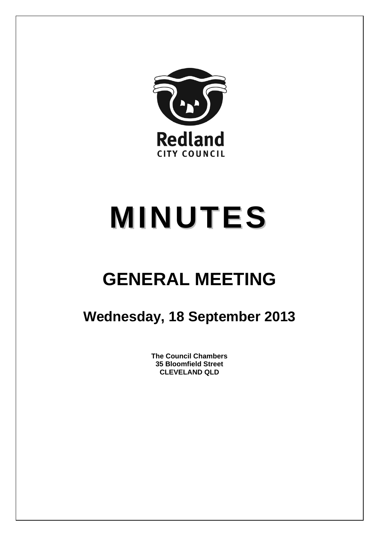

# **MINUTES**

## **GENERAL MEETING**

### **Wednesday, 18 September 2013**

**The Council Chambers 35 Bloomfield Street CLEVELAND QLD**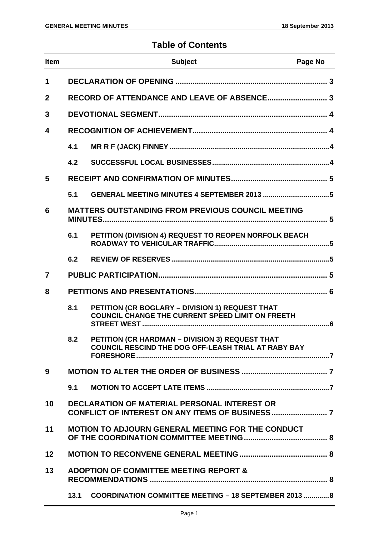#### **Table of Contents**

| <b>Item</b>    |      | <b>Subject</b>                                                                                                | Page No |
|----------------|------|---------------------------------------------------------------------------------------------------------------|---------|
| 1              |      |                                                                                                               |         |
| $\overline{2}$ |      |                                                                                                               |         |
| 3              |      |                                                                                                               |         |
| 4              |      |                                                                                                               |         |
|                | 4.1  |                                                                                                               |         |
|                | 4.2  |                                                                                                               |         |
| 5              |      |                                                                                                               |         |
|                | 5.1  | GENERAL MEETING MINUTES 4 SEPTEMBER 2013 5                                                                    |         |
| 6              |      | <b>MATTERS OUTSTANDING FROM PREVIOUS COUNCIL MEETING</b>                                                      |         |
|                | 6.1  | PETITION (DIVISION 4) REQUEST TO REOPEN NORFOLK BEACH                                                         |         |
|                | 6.2  |                                                                                                               |         |
| $\overline{7}$ |      |                                                                                                               |         |
| 8              |      |                                                                                                               |         |
|                | 8.1  | PETITION (CR BOGLARY - DIVISION 1) REQUEST THAT<br><b>COUNCIL CHANGE THE CURRENT SPEED LIMIT ON FREETH</b>    |         |
|                | 8.2  | PETITION (CR HARDMAN - DIVISION 3) REQUEST THAT<br><b>COUNCIL RESCIND THE DOG OFF-LEASH TRIAL AT RABY BAY</b> |         |
| 9              |      |                                                                                                               |         |
|                | 9.1  |                                                                                                               |         |
| 10             |      | <b>DECLARATION OF MATERIAL PERSONAL INTEREST OR</b>                                                           |         |
| 11             |      | <b>MOTION TO ADJOURN GENERAL MEETING FOR THE CONDUCT</b>                                                      |         |
| 12             |      |                                                                                                               |         |
| 13             |      | <b>ADOPTION OF COMMITTEE MEETING REPORT &amp;</b>                                                             |         |
|                | 13.1 | <b>COORDINATION COMMITTEE MEETING - 18 SEPTEMBER 2013  8</b>                                                  |         |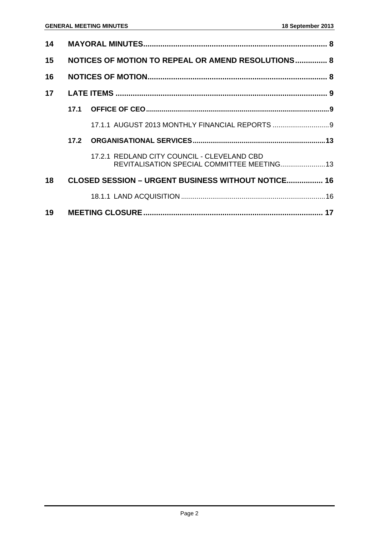| 14 |                                                    |                                                                                            |  |
|----|----------------------------------------------------|--------------------------------------------------------------------------------------------|--|
| 15 | NOTICES OF MOTION TO REPEAL OR AMEND RESOLUTIONS 8 |                                                                                            |  |
| 16 |                                                    |                                                                                            |  |
| 17 |                                                    |                                                                                            |  |
|    |                                                    |                                                                                            |  |
|    |                                                    |                                                                                            |  |
|    | 17.2                                               |                                                                                            |  |
|    |                                                    | 17.2.1 REDLAND CITY COUNCIL - CLEVELAND CBD<br>REVITALISATION SPECIAL COMMITTEE MEETING 13 |  |
| 18 |                                                    | CLOSED SESSION - URGENT BUSINESS WITHOUT NOTICE 16                                         |  |
|    |                                                    |                                                                                            |  |
| 19 |                                                    |                                                                                            |  |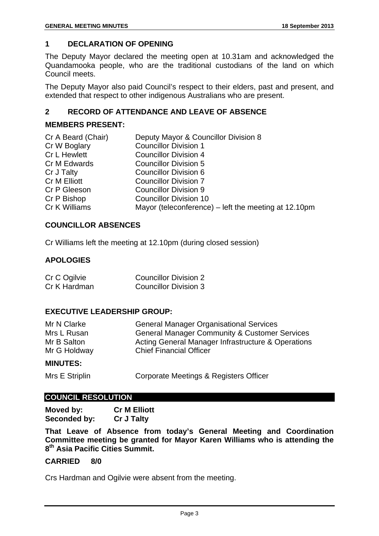#### **1 DECLARATION OF OPENING**

The Deputy Mayor declared the meeting open at 10.31am and acknowledged the Quandamooka people, who are the traditional custodians of the land on which Council meets.

The Deputy Mayor also paid Council's respect to their elders, past and present, and extended that respect to other indigenous Australians who are present.

#### **2 RECORD OF ATTENDANCE AND LEAVE OF ABSENCE**

#### **MEMBERS PRESENT:**

| Cr A Beard (Chair)  | Deputy Mayor & Councillor Division 8                 |
|---------------------|------------------------------------------------------|
| Cr W Boglary        | <b>Councillor Division 1</b>                         |
| <b>Cr L Hewlett</b> | <b>Councillor Division 4</b>                         |
| Cr M Edwards        | <b>Councillor Division 5</b>                         |
| Cr J Talty          | <b>Councillor Division 6</b>                         |
| <b>Cr M Elliott</b> | <b>Councillor Division 7</b>                         |
| Cr P Gleeson        | <b>Councillor Division 9</b>                         |
| Cr P Bishop         | <b>Councillor Division 10</b>                        |
| Cr K Williams       | Mayor (teleconference) – left the meeting at 12.10pm |

#### **COUNCILLOR ABSENCES**

Cr Williams left the meeting at 12.10pm (during closed session)

#### **APOLOGIES**

| Cr C Ogilvie | <b>Councillor Division 2</b> |
|--------------|------------------------------|
| Cr K Hardman | <b>Councillor Division 3</b> |

#### **EXECUTIVE LEADERSHIP GROUP:**

| Mr N Clarke  | <b>General Manager Organisational Services</b>           |
|--------------|----------------------------------------------------------|
| Mrs L Rusan  | <b>General Manager Community &amp; Customer Services</b> |
| Mr B Salton  | Acting General Manager Infrastructure & Operations       |
| Mr G Holdway | <b>Chief Financial Officer</b>                           |
|              |                                                          |

#### **MINUTES:**

Mrs E Striplin Corporate Meetings & Registers Officer

#### **COUNCIL RESOLUTION**

| Moved by:    | <b>Cr M Elliott</b> |
|--------------|---------------------|
| Seconded by: | <b>Cr J Talty</b>   |

**That Leave of Absence from today's General Meeting and Coordination Committee meeting be granted for Mayor Karen Williams who is attending the 8th Asia Pacific Cities Summit.** 

#### **CARRIED 8/0**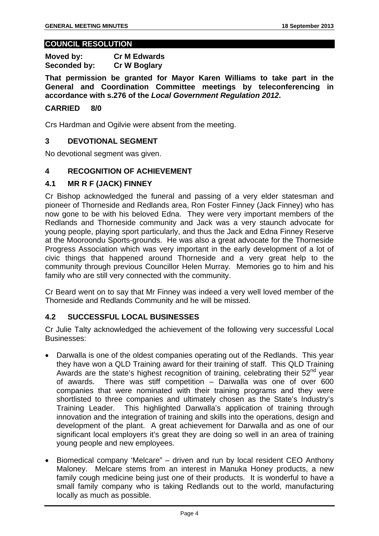#### **COUNCIL RESOLUTION**

**Moved by: Cr M Edwards Seconded by: Cr W Boglary** 

**That permission be granted for Mayor Karen Williams to take part in the General and Coordination Committee meetings by teleconferencing in accordance with s.276 of the** *Local Government Regulation 2012***.** 

#### **CARRIED 8/0**

Crs Hardman and Ogilvie were absent from the meeting.

#### **3 DEVOTIONAL SEGMENT**

No devotional segment was given.

#### **4 RECOGNITION OF ACHIEVEMENT**

#### **4.1 MR R F (JACK) FINNEY**

Cr Bishop acknowledged the funeral and passing of a very elder statesman and pioneer of Thorneside and Redlands area, Ron Foster Finney (Jack Finney) who has now gone to be with his beloved Edna. They were very important members of the Redlands and Thorneside community and Jack was a very staunch advocate for young people, playing sport particularly, and thus the Jack and Edna Finney Reserve at the Mooroondu Sports-grounds. He was also a great advocate for the Thorneside Progress Association which was very important in the early development of a lot of civic things that happened around Thorneside and a very great help to the community through previous Councillor Helen Murray. Memories go to him and his family who are still very connected with the community.

Cr Beard went on to say that Mr Finney was indeed a very well loved member of the Thorneside and Redlands Community and he will be missed.

#### **4.2 SUCCESSFUL LOCAL BUSINESSES**

Cr Julie Talty acknowledged the achievement of the following very successful Local Businesses:

- Darwalla is one of the oldest companies operating out of the Redlands. This year they have won a QLD Training award for their training of staff. This QLD Training Awards are the state's highest recognition of training, celebrating their  $52<sup>nd</sup>$  year of awards. There was stiff competition – Darwalla was one of over 600 companies that were nominated with their training programs and they were shortlisted to three companies and ultimately chosen as the State's Industry's Training Leader. This highlighted Darwalla's application of training through innovation and the integration of training and skills into the operations, design and development of the plant. A great achievement for Darwalla and as one of our significant local employers it's great they are doing so well in an area of training young people and new employees.
- Biomedical company 'Melcare" driven and run by local resident CEO Anthony Maloney. Melcare stems from an interest in Manuka Honey products, a new family cough medicine being just one of their products. It is wonderful to have a small family company who is taking Redlands out to the world, manufacturing locally as much as possible.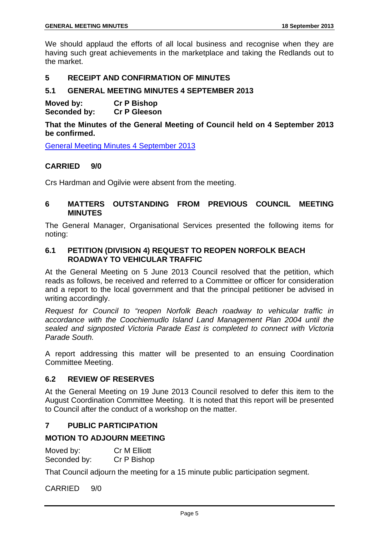We should applaud the efforts of all local business and recognise when they are having such great achievements in the marketplace and taking the Redlands out to the market.

#### **5 RECEIPT AND CONFIRMATION OF MINUTES**

#### **5.1 GENERAL MEETING MINUTES 4 SEPTEMBER 2013**

**Moved by: Cr P Bishop Seconded by: Cr P Gleeson** 

**That the Minutes of the General Meeting of Council held on 4 September 2013 be confirmed.** 

General Meeting Minutes 4 September 2013

#### **CARRIED 9/0**

Crs Hardman and Ogilvie were absent from the meeting.

#### **6 MATTERS OUTSTANDING FROM PREVIOUS COUNCIL MEETING MINUTES**

The General Manager, Organisational Services presented the following items for noting:

#### **6.1 PETITION (DIVISION 4) REQUEST TO REOPEN NORFOLK BEACH ROADWAY TO VEHICULAR TRAFFIC**

At the General Meeting on 5 June 2013 Council resolved that the petition, which reads as follows, be received and referred to a Committee or officer for consideration and a report to the local government and that the principal petitioner be advised in writing accordingly.

*Request for Council to "reopen Norfolk Beach roadway to vehicular traffic in accordance with the Coochiemudlo Island Land Management Plan 2004 until the sealed and signposted Victoria Parade East is completed to connect with Victoria Parade South.* 

A report addressing this matter will be presented to an ensuing Coordination Committee Meeting.

#### **6.2 REVIEW OF RESERVES**

At the General Meeting on 19 June 2013 Council resolved to defer this item to the August Coordination Committee Meeting. It is noted that this report will be presented to Council after the conduct of a workshop on the matter.

#### **7 PUBLIC PARTICIPATION**

#### **MOTION TO ADJOURN MEETING**

| Moved by:    | <b>Cr M Elliott</b> |
|--------------|---------------------|
| Seconded by: | Cr P Bishop         |

That Council adjourn the meeting for a 15 minute public participation segment.

CARRIED 9/0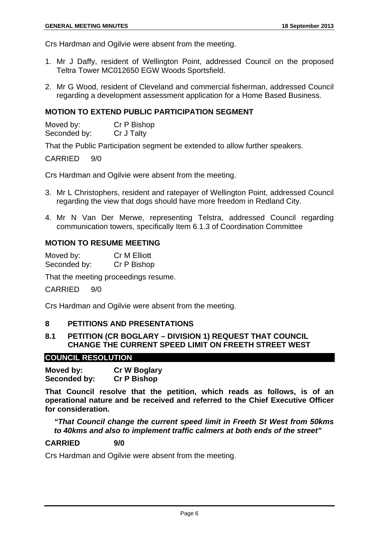Crs Hardman and Ogilvie were absent from the meeting.

- 1. Mr J Daffy, resident of Wellington Point, addressed Council on the proposed Teltra Tower MC012650 EGW Woods Sportsfield.
- 2. Mr G Wood, resident of Cleveland and commercial fisherman, addressed Council regarding a development assessment application for a Home Based Business.

#### **MOTION TO EXTEND PUBLIC PARTICIPATION SEGMENT**

| Moved by:    | Cr P Bishop |
|--------------|-------------|
| Seconded by: | Cr J Talty  |

That the Public Participation segment be extended to allow further speakers.

CARRIED 9/0

Crs Hardman and Ogilvie were absent from the meeting.

- 3. Mr L Christophers, resident and ratepayer of Wellington Point, addressed Council regarding the view that dogs should have more freedom in Redland City.
- 4. Mr N Van Der Merwe, representing Telstra, addressed Council regarding communication towers, specifically Item 6.1.3 of Coordination Committee

#### **MOTION TO RESUME MEETING**

Moved by: Cr M Elliott Seconded by: Cr P Bishop

That the meeting proceedings resume.

CARRIED 9/0

Crs Hardman and Ogilvie were absent from the meeting.

#### **8 PETITIONS AND PRESENTATIONS**

#### **8.1 PETITION (CR BOGLARY – DIVISION 1) REQUEST THAT COUNCIL CHANGE THE CURRENT SPEED LIMIT ON FREETH STREET WEST**

#### **COUNCIL RESOLUTION**

**Moved by: Cr W Boglary Seconded by: Cr P Bishop** 

**That Council resolve that the petition, which reads as follows, is of an operational nature and be received and referred to the Chief Executive Officer for consideration.** 

*"That Council change the current speed limit in Freeth St West from 50kms to 40kms and also to implement traffic calmers at both ends of the street"* 

#### **CARRIED 9/0**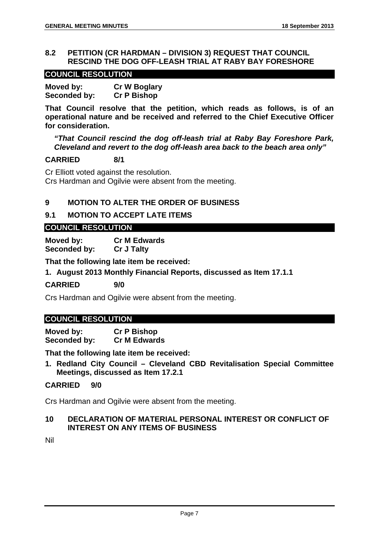#### **8.2 PETITION (CR HARDMAN – DIVISION 3) REQUEST THAT COUNCIL RESCIND THE DOG OFF-LEASH TRIAL AT RABY BAY FORESHORE**

#### **COUNCIL RESOLUTION**

| Moved by:    | <b>Cr W Boglary</b> |
|--------------|---------------------|
| Seconded by: | <b>Cr P Bishop</b>  |

**That Council resolve that the petition, which reads as follows, is of an operational nature and be received and referred to the Chief Executive Officer for consideration.** 

*"That Council rescind the dog off-leash trial at Raby Bay Foreshore Park, Cleveland and revert to the dog off-leash area back to the beach area only"* 

#### **CARRIED 8/1**

Cr Elliott voted against the resolution. Crs Hardman and Ogilvie were absent from the meeting.

#### **9 MOTION TO ALTER THE ORDER OF BUSINESS**

#### **9.1 MOTION TO ACCEPT LATE ITEMS**

#### **COUNCIL RESOLUTION**

**Moved by: Cr M Edwards Seconded by: Cr J Talty** 

**That the following late item be received:** 

**1. August 2013 Monthly Financial Reports, discussed as Item 17.1.1** 

**CARRIED 9/0** 

Crs Hardman and Ogilvie were absent from the meeting.

#### **COUNCIL RESOLUTION**

**Moved by: Cr P Bishop Seconded by: Cr M Edwards** 

**That the following late item be received:** 

**1. Redland City Council – Cleveland CBD Revitalisation Special Committee Meetings, discussed as Item 17.2.1** 

#### **CARRIED 9/0**

Crs Hardman and Ogilvie were absent from the meeting.

#### **10 DECLARATION OF MATERIAL PERSONAL INTEREST OR CONFLICT OF INTEREST ON ANY ITEMS OF BUSINESS**

Nil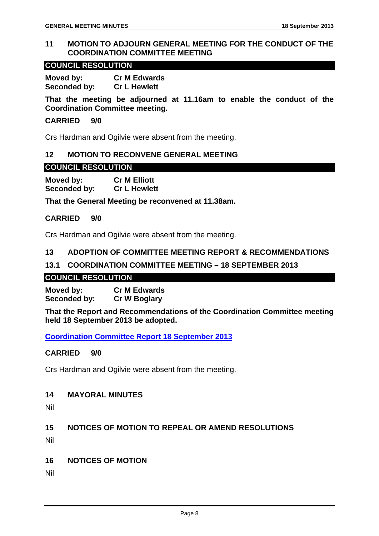#### **11 MOTION TO ADJOURN GENERAL MEETING FOR THE CONDUCT OF THE COORDINATION COMMITTEE MEETING**

#### **COUNCIL RESOLUTION**

**Moved by: Cr M Edwards Seconded by: Cr L Hewlett** 

**That the meeting be adjourned at 11.16am to enable the conduct of the Coordination Committee meeting.** 

#### **CARRIED 9/0**

Crs Hardman and Ogilvie were absent from the meeting.

#### **12 MOTION TO RECONVENE GENERAL MEETING**

#### **COUNCIL RESOLUTION**

**Moved by: Cr M Elliott Seconded by: Cr L Hewlett** 

**That the General Meeting be reconvened at 11.38am.** 

#### **CARRIED 9/0**

Crs Hardman and Ogilvie were absent from the meeting.

#### **13 ADOPTION OF COMMITTEE MEETING REPORT & RECOMMENDATIONS**

#### **13.1 COORDINATION COMMITTEE MEETING – 18 SEPTEMBER 2013**

#### **COUNCIL RESOLUTION**

**Moved by: Cr M Edwards Seconded by: Cr W Boglary** 

**That the Report and Recommendations of the Coordination Committee meeting held 18 September 2013 be adopted.** 

**Coordination Committee Report 18 September 2013**

#### **CARRIED 9/0**

Crs Hardman and Ogilvie were absent from the meeting.

#### **14 MAYORAL MINUTES**

Nil

#### **15 NOTICES OF MOTION TO REPEAL OR AMEND RESOLUTIONS**

Nil

**16 NOTICES OF MOTION** 

Nil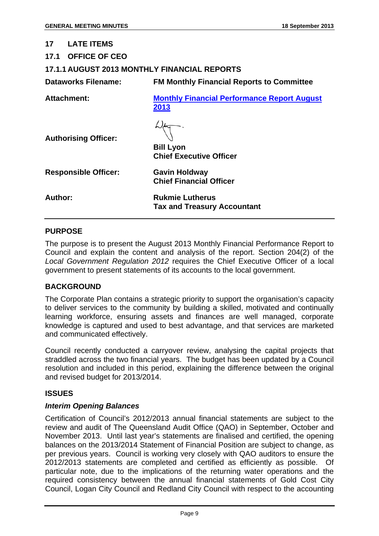| 17                         | <b>LATE ITEMS</b>           |                                                              |
|----------------------------|-----------------------------|--------------------------------------------------------------|
|                            | 17.1 OFFICE OF CEO          |                                                              |
|                            |                             | <b>17.1.1 AUGUST 2013 MONTHLY FINANCIAL REPORTS</b>          |
| <b>Dataworks Filename:</b> |                             | <b>FM Monthly Financial Reports to Committee</b>             |
|                            | Attachment:                 | <b>Monthly Financial Performance Report August</b><br>2013   |
|                            | <b>Authorising Officer:</b> | <b>Bill Lyon</b><br><b>Chief Executive Officer</b>           |
|                            | <b>Responsible Officer:</b> | <b>Gavin Holdway</b><br><b>Chief Financial Officer</b>       |
| Author:                    |                             | <b>Rukmie Lutherus</b><br><b>Tax and Treasury Accountant</b> |

#### **PURPOSE**

The purpose is to present the August 2013 Monthly Financial Performance Report to Council and explain the content and analysis of the report. Section 204(2) of the *Local Government Regulation 2012* requires the Chief Executive Officer of a local government to present statements of its accounts to the local government.

#### **BACKGROUND**

The Corporate Plan contains a strategic priority to support the organisation's capacity to deliver services to the community by building a skilled, motivated and continually learning workforce, ensuring assets and finances are well managed, corporate knowledge is captured and used to best advantage, and that services are marketed and communicated effectively.

Council recently conducted a carryover review, analysing the capital projects that straddled across the two financial years. The budget has been updated by a Council resolution and included in this period, explaining the difference between the original and revised budget for 2013/2014.

#### **ISSUES**

#### *Interim Opening Balances*

Certification of Council's 2012/2013 annual financial statements are subject to the review and audit of The Queensland Audit Office (QAO) in September, October and November 2013. Until last year's statements are finalised and certified, the opening balances on the 2013/2014 Statement of Financial Position are subject to change, as per previous years. Council is working very closely with QAO auditors to ensure the 2012/2013 statements are completed and certified as efficiently as possible. Of particular note, due to the implications of the returning water operations and the required consistency between the annual financial statements of Gold Cost City Council, Logan City Council and Redland City Council with respect to the accounting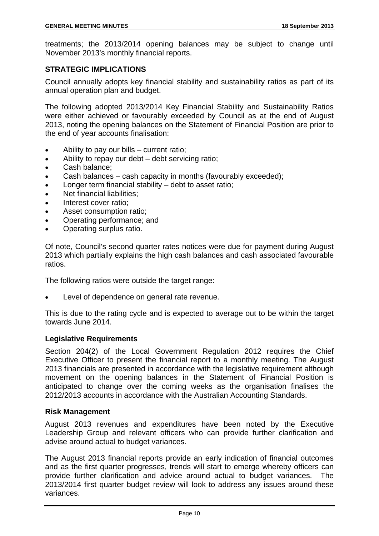treatments; the 2013/2014 opening balances may be subject to change until November 2013's monthly financial reports.

#### **STRATEGIC IMPLICATIONS**

Council annually adopts key financial stability and sustainability ratios as part of its annual operation plan and budget.

The following adopted 2013/2014 Key Financial Stability and Sustainability Ratios were either achieved or favourably exceeded by Council as at the end of August 2013, noting the opening balances on the Statement of Financial Position are prior to the end of year accounts finalisation:

- Ability to pay our bills current ratio;
- Ability to repay our debt debt servicing ratio;
- Cash balance;
- Cash balances cash capacity in months (favourably exceeded);
- Longer term financial stability debt to asset ratio;
- Net financial liabilities:
- Interest cover ratio:
- Asset consumption ratio;
- Operating performance; and
- Operating surplus ratio.

Of note, Council's second quarter rates notices were due for payment during August 2013 which partially explains the high cash balances and cash associated favourable ratios.

The following ratios were outside the target range:

Level of dependence on general rate revenue.

This is due to the rating cycle and is expected to average out to be within the target towards June 2014.

#### **Legislative Requirements**

Section 204(2) of the Local Government Regulation 2012 requires the Chief Executive Officer to present the financial report to a monthly meeting. The August 2013 financials are presented in accordance with the legislative requirement although movement on the opening balances in the Statement of Financial Position is anticipated to change over the coming weeks as the organisation finalises the 2012/2013 accounts in accordance with the Australian Accounting Standards.

#### **Risk Management**

August 2013 revenues and expenditures have been noted by the Executive Leadership Group and relevant officers who can provide further clarification and advise around actual to budget variances.

The August 2013 financial reports provide an early indication of financial outcomes and as the first quarter progresses, trends will start to emerge whereby officers can provide further clarification and advice around actual to budget variances. The 2013/2014 first quarter budget review will look to address any issues around these variances.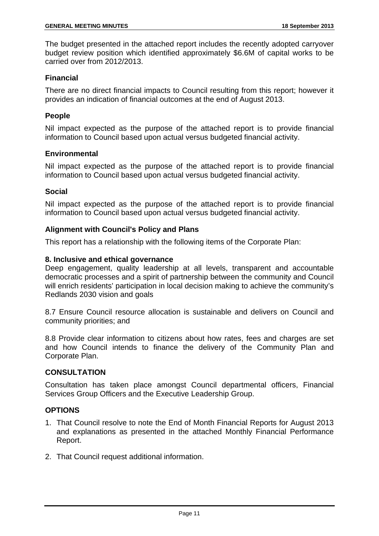The budget presented in the attached report includes the recently adopted carryover budget review position which identified approximately \$6.6M of capital works to be carried over from 2012/2013.

#### **Financial**

There are no direct financial impacts to Council resulting from this report; however it provides an indication of financial outcomes at the end of August 2013.

#### **People**

Nil impact expected as the purpose of the attached report is to provide financial information to Council based upon actual versus budgeted financial activity.

#### **Environmental**

Nil impact expected as the purpose of the attached report is to provide financial information to Council based upon actual versus budgeted financial activity.

#### **Social**

Nil impact expected as the purpose of the attached report is to provide financial information to Council based upon actual versus budgeted financial activity.

#### **Alignment with Council's Policy and Plans**

This report has a relationship with the following items of the Corporate Plan:

#### **8. Inclusive and ethical governance**

Deep engagement, quality leadership at all levels, transparent and accountable democratic processes and a spirit of partnership between the community and Council will enrich residents' participation in local decision making to achieve the community's Redlands 2030 vision and goals

8.7 Ensure Council resource allocation is sustainable and delivers on Council and community priorities; and

8.8 Provide clear information to citizens about how rates, fees and charges are set and how Council intends to finance the delivery of the Community Plan and Corporate Plan.

#### **CONSULTATION**

Consultation has taken place amongst Council departmental officers, Financial Services Group Officers and the Executive Leadership Group.

#### **OPTIONS**

- 1. That Council resolve to note the End of Month Financial Reports for August 2013 and explanations as presented in the attached Monthly Financial Performance Report.
- 2. That Council request additional information.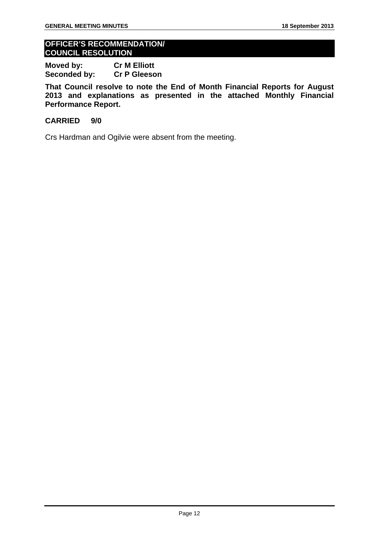#### **OFFICER'S RECOMMENDATION/ COUNCIL RESOLUTION**

**Moved by: Cr M Elliott Seconded by: Cr P Gleeson** 

**That Council resolve to note the End of Month Financial Reports for August 2013 and explanations as presented in the attached Monthly Financial Performance Report.** 

#### **CARRIED 9/0**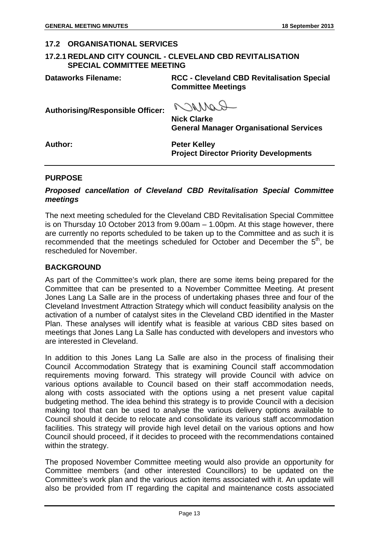#### **17.2 ORGANISATIONAL SERVICES**

#### **17.2.1 REDLAND CITY COUNCIL - CLEVELAND CBD REVITALISATION SPECIAL COMMITTEE MEETING**

**Dataworks Filename: RCC - Cleveland CBD Revitalisation Special Committee Meetings** 

**Authorising/Responsible Officer:** 

R MING **Nick Clarke** 

**General Manager Organisational Services** 

**Author: Peter Kelley Project Director Priority Developments** 

#### **PURPOSE**

#### *Proposed cancellation of Cleveland CBD Revitalisation Special Committee meetings*

The next meeting scheduled for the Cleveland CBD Revitalisation Special Committee is on Thursday 10 October 2013 from 9.00am – 1.00pm. At this stage however, there are currently no reports scheduled to be taken up to the Committee and as such it is recommended that the meetings scheduled for October and December the 5<sup>th</sup>, be rescheduled for November.

#### **BACKGROUND**

As part of the Committee's work plan, there are some items being prepared for the Committee that can be presented to a November Committee Meeting. At present Jones Lang La Salle are in the process of undertaking phases three and four of the Cleveland Investment Attraction Strategy which will conduct feasibility analysis on the activation of a number of catalyst sites in the Cleveland CBD identified in the Master Plan. These analyses will identify what is feasible at various CBD sites based on meetings that Jones Lang La Salle has conducted with developers and investors who are interested in Cleveland.

In addition to this Jones Lang La Salle are also in the process of finalising their Council Accommodation Strategy that is examining Council staff accommodation requirements moving forward. This strategy will provide Council with advice on various options available to Council based on their staff accommodation needs, along with costs associated with the options using a net present value capital budgeting method. The idea behind this strategy is to provide Council with a decision making tool that can be used to analyse the various delivery options available to Council should it decide to relocate and consolidate its various staff accommodation facilities. This strategy will provide high level detail on the various options and how Council should proceed, if it decides to proceed with the recommendations contained within the strategy.

The proposed November Committee meeting would also provide an opportunity for Committee members (and other interested Councillors) to be updated on the Committee's work plan and the various action items associated with it. An update will also be provided from IT regarding the capital and maintenance costs associated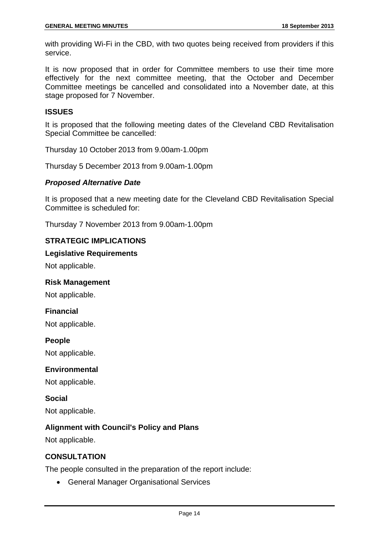with providing Wi-Fi in the CBD, with two quotes being received from providers if this service.

It is now proposed that in order for Committee members to use their time more effectively for the next committee meeting, that the October and December Committee meetings be cancelled and consolidated into a November date, at this stage proposed for 7 November.

#### **ISSUES**

It is proposed that the following meeting dates of the Cleveland CBD Revitalisation Special Committee be cancelled:

Thursday 10 October 2013 from 9.00am-1.00pm

Thursday 5 December 2013 from 9.00am-1.00pm

#### *Proposed Alternative Date*

It is proposed that a new meeting date for the Cleveland CBD Revitalisation Special Committee is scheduled for:

Thursday 7 November 2013 from 9.00am-1.00pm

#### **STRATEGIC IMPLICATIONS**

#### **Legislative Requirements**

Not applicable.

#### **Risk Management**

Not applicable.

#### **Financial**

Not applicable.

#### **People**

Not applicable.

#### **Environmental**

Not applicable.

**Social**  Not applicable.

#### **Alignment with Council's Policy and Plans**

Not applicable.

#### **CONSULTATION**

The people consulted in the preparation of the report include:

• General Manager Organisational Services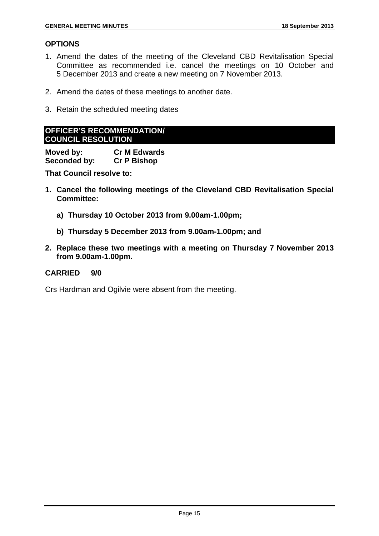#### **OPTIONS**

- 1. Amend the dates of the meeting of the Cleveland CBD Revitalisation Special Committee as recommended i.e. cancel the meetings on 10 October and 5 December 2013 and create a new meeting on 7 November 2013.
- 2. Amend the dates of these meetings to another date.
- 3. Retain the scheduled meeting dates

#### **OFFICER'S RECOMMENDATION/ COUNCIL RESOLUTION**

**Moved by: Cr M Edwards Seconded by: Cr P Bishop** 

**That Council resolve to:** 

- **1. Cancel the following meetings of the Cleveland CBD Revitalisation Special Committee:** 
	- **a) Thursday 10 October 2013 from 9.00am-1.00pm;**
	- **b) Thursday 5 December 2013 from 9.00am-1.00pm; and**
- **2. Replace these two meetings with a meeting on Thursday 7 November 2013 from 9.00am-1.00pm.**

#### **CARRIED 9/0**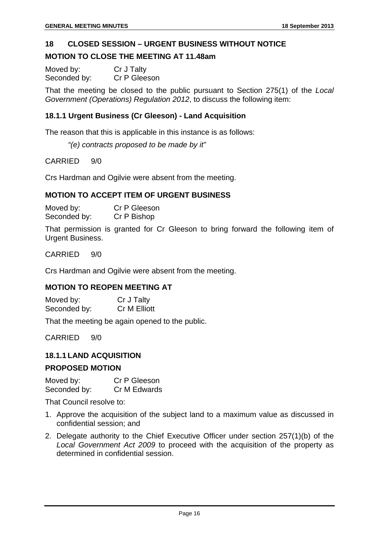#### **18 CLOSED SESSION – URGENT BUSINESS WITHOUT NOTICE**

#### **MOTION TO CLOSE THE MEETING AT 11.48am**

| Moved by:    | Cr J Talty   |
|--------------|--------------|
| Seconded by: | Cr P Gleeson |

That the meeting be closed to the public pursuant to Section 275(1) of the *Local Government (Operations) Regulation 2012*, to discuss the following item:

#### **18.1.1 Urgent Business (Cr Gleeson) - Land Acquisition**

The reason that this is applicable in this instance is as follows:

*"(e) contracts proposed to be made by it"* 

CARRIED 9/0

Crs Hardman and Ogilvie were absent from the meeting.

#### **MOTION TO ACCEPT ITEM OF URGENT BUSINESS**

Moved by: Cr P Gleeson Seconded by: Cr P Bishop

That permission is granted for Cr Gleeson to bring forward the following item of Urgent Business.

#### CARRIED 9/0

Crs Hardman and Ogilvie were absent from the meeting.

#### **MOTION TO REOPEN MEETING AT**

| Moved by:    | Cr J Talty   |
|--------------|--------------|
| Seconded by: | Cr M Elliott |

That the meeting be again opened to the public.

CARRIED 9/0

#### **18.1.1 LAND ACQUISITION**

#### **PROPOSED MOTION**

Moved by: Cr P Gleeson Seconded by: Cr M Edwards

That Council resolve to:

- 1. Approve the acquisition of the subject land to a maximum value as discussed in confidential session; and
- 2. Delegate authority to the Chief Executive Officer under section 257(1)(b) of the *Local Government Act 2009* to proceed with the acquisition of the property as determined in confidential session.